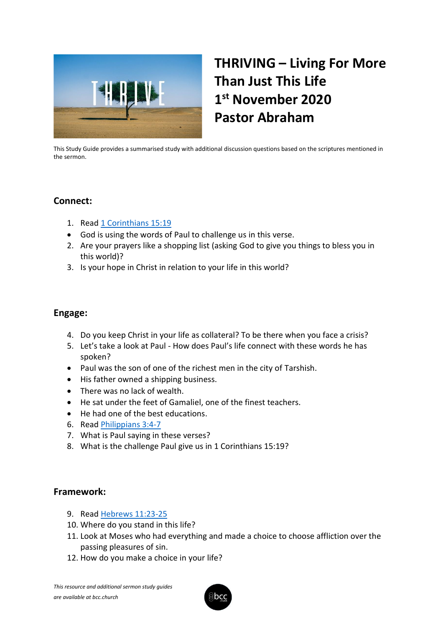

## **THRIVING – Living For More Than Just This Life 1 st November 2020 Pastor Abraham**

This Study Guide provides a summarised study with additional discussion questions based on the scriptures mentioned in the sermon.

## **Connect:**

- 1. Read [1 Corinthians 15:19](https://www.biblegateway.com/passage/?search=1+Corinthians+15%3A19+&version=KJV)
- God is using the words of Paul to challenge us in this verse.
- 2. Are your prayers like a shopping list (asking God to give you things to bless you in this world)?
- 3. Is your hope in Christ in relation to your life in this world?

## **Engage:**

- 4. Do you keep Christ in your life as collateral? To be there when you face a crisis?
- 5. Let's take a look at Paul How does Paul's life connect with these words he has spoken?
- Paul was the son of one of the richest men in the city of Tarshish.
- His father owned a shipping business.
- There was no lack of wealth.
- He sat under the feet of Gamaliel, one of the finest teachers.
- He had one of the best educations.
- 6. Read [Philippians 3:4-7](https://www.biblegateway.com/passage/?search=Philippians+3%3A4-7&version=KJV)
- 7. What is Paul saying in these verses?
- 8. What is the challenge Paul give us in 1 Corinthians 15:19?

## **Framework:**

- 9. Read [Hebrews 11:23-25](https://www.biblegateway.com/passage/?search=Hebrews+11%3A23-25&version=KJV)
- 10. Where do you stand in this life?
- 11. Look at Moses who had everything and made a choice to choose affliction over the passing pleasures of sin.
- 12. How do you make a choice in your life?